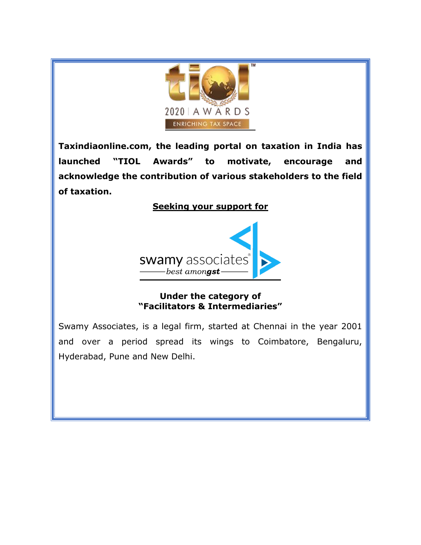

**Taxindiaonline.com, the leading portal on taxation in India has launched "TIOL Awards" to motivate, encourage and acknowledge the contribution of various stakeholders to the field of taxation.** 

# **Seeking your support for**



## **Under the category of "Facilitators & Intermediaries"**

Swamy Associates, is a legal firm, started at Chennai in the year 2001 and over a period spread its wings to Coimbatore, Bengaluru, Hyderabad, Pune and New Delhi.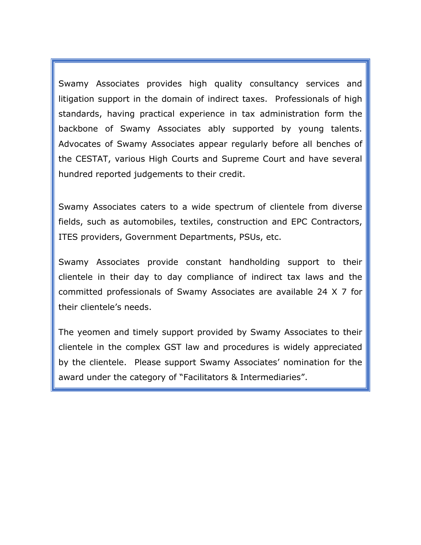Swamy Associates provides high quality consultancy services and litigation support in the domain of indirect taxes. Professionals of high standards, having practical experience in tax administration form the backbone of Swamy Associates ably supported by young talents. Advocates of Swamy Associates appear regularly before all benches of the CESTAT, various High Courts and Supreme Court and have several hundred reported judgements to their credit.

Swamy Associates caters to a wide spectrum of clientele from diverse fields, such as automobiles, textiles, construction and EPC Contractors, ITES providers, Government Departments, PSUs, etc.

Swamy Associates provide constant handholding support to their clientele in their day to day compliance of indirect tax laws and the committed professionals of Swamy Associates are available 24 X 7 for their clientele's needs.

The yeomen and timely support provided by Swamy Associates to their clientele in the complex GST law and procedures is widely appreciated by the clientele. Please support Swamy Associates' nomination for the award under the category of "Facilitators & Intermediaries".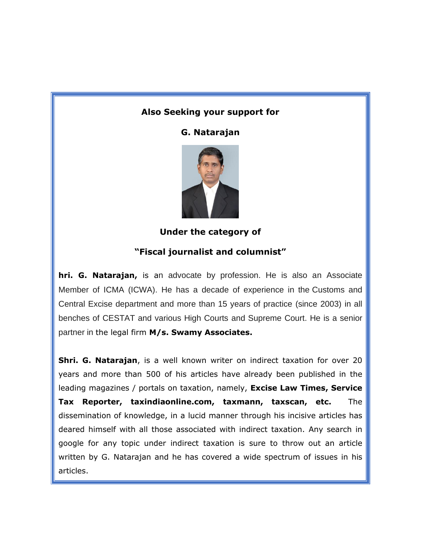## **Also Seeking your support for**

**G. Natarajan**



**Under the category of** 

#### **"Fiscal journalist and columnist"**

**hri. G. Natarajan,** is an advocate by profession. He is also an Associate Member of ICMA (ICWA). He has a decade of experience in the Customs and Central Excise department and more than 15 years of practice (since 2003) in all benches of CESTAT and various High Courts and Supreme Court. He is a senior partner in the legal firm **M/s. Swamy Associates.** 

**Shri. G. Natarajan**, is a well known writer on indirect taxation for over 20 years and more than 500 of his articles have already been published in the leading magazines / portals on taxation, namely, **Excise Law Times, Service Tax Reporter, taxindiaonline.com, taxmann, taxscan, etc.** The dissemination of knowledge, in a lucid manner through his incisive articles has deared himself with all those associated with indirect taxation. Any search in google for any topic under indirect taxation is sure to throw out an article written by G. Natarajan and he has covered a wide spectrum of issues in his articles.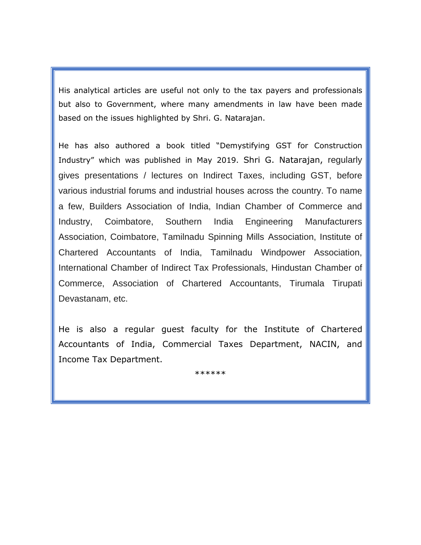His analytical articles are useful not only to the tax payers and professionals but also to Government, where many amendments in law have been made based on the issues highlighted by Shri. G. Natarajan.

He has also authored a book titled "Demystifying GST for Construction Industry" which was published in May 2019. Shri G. Natarajan, regularly gives presentations / lectures on Indirect Taxes, including GST, before various industrial forums and industrial houses across the country. To name a few, Builders Association of India, Indian Chamber of Commerce and Industry, Coimbatore, Southern India Engineering Manufacturers Association, Coimbatore, Tamilnadu Spinning Mills Association, Institute of Chartered Accountants of India, Tamilnadu Windpower Association, International Chamber of Indirect Tax Professionals, Hindustan Chamber of Commerce, Association of Chartered Accountants, Tirumala Tirupati Devastanam, etc.

He is also a regular guest faculty for the Institute of Chartered Accountants of India, Commercial Taxes Department, NACIN, and Income Tax Department.

\*\*\*\*\*\*